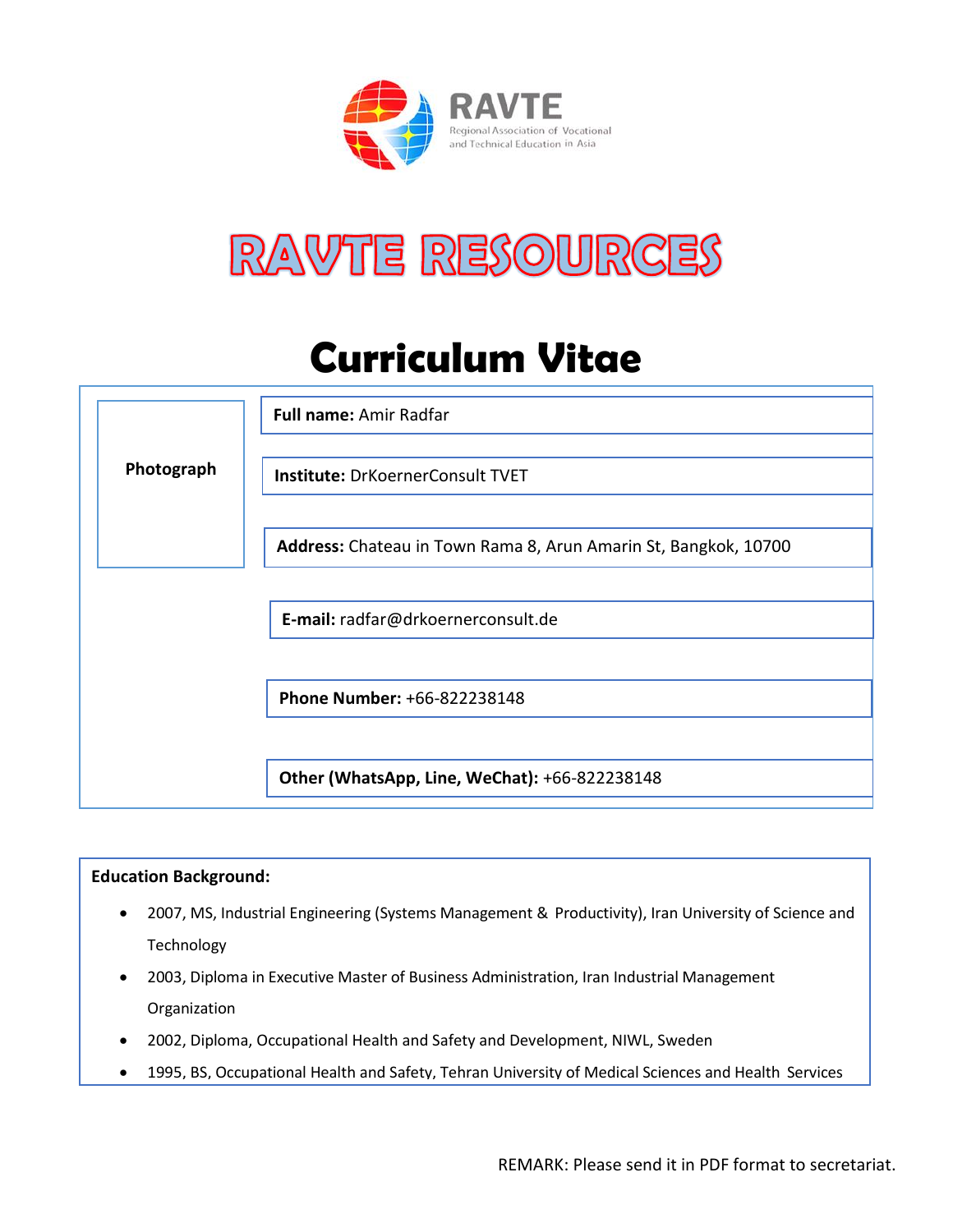



# **Curriculum Vitae**



## **Education Background:**

- 2007, MS, Industrial Engineering (Systems Management & Productivity), Iran University of Science and Technology
- 2003, Diploma in Executive Master of Business Administration, Iran Industrial Management Organization
- 2002, Diploma, Occupational Health and Safety and Development, NIWL, Sweden
- 1995, BS, Occupational Health and Safety, Tehran University of Medical Sciences and Health Services